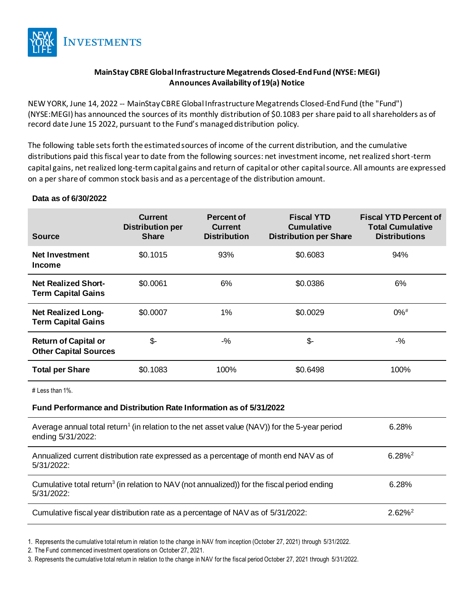

# **MainStay CBRE Global Infrastructure Megatrends Closed-End Fund (NYSE: MEGI) Announces Availability of 19(a) Notice**

NEW YORK, June 14, 2022 -- MainStayCBRE Global Infrastructure Megatrends Closed-End Fund (the "Fund") (NYSE:MEGI) has announced the sources of its monthly distribution of \$0.1083 per share paid to all shareholders as of record date June 15 2022, pursuant to the Fund's managed distribution policy.

The following table sets forth the estimated sources of income of the current distribution, and the cumulative distributions paid this fiscal year to date from the following sources: net investment income, net realized short-term capital gains, net realized long-term capital gains and return of capital or other capital source. All amounts are expressed on a per share of common stock basis and as a percentage of the distribution amount.

### **Data as of 6/30/2022**

| <b>Source</b>                                               | <b>Current</b><br><b>Distribution per</b><br><b>Share</b> | Percent of<br><b>Current</b><br><b>Distribution</b> | <b>Fiscal YTD</b><br><b>Cumulative</b><br><b>Distribution per Share</b> | <b>Fiscal YTD Percent of</b><br><b>Total Cumulative</b><br><b>Distributions</b> |
|-------------------------------------------------------------|-----------------------------------------------------------|-----------------------------------------------------|-------------------------------------------------------------------------|---------------------------------------------------------------------------------|
| <b>Net Investment</b><br><b>Income</b>                      | \$0.1015                                                  | 93%                                                 | \$0.6083                                                                | 94%                                                                             |
| <b>Net Realized Short-</b><br><b>Term Capital Gains</b>     | \$0.0061                                                  | 6%                                                  | \$0.0386                                                                | 6%                                                                              |
| <b>Net Realized Long-</b><br><b>Term Capital Gains</b>      | \$0.0007                                                  | $1\%$                                               | \$0.0029                                                                | $0\%$ <sup>#</sup>                                                              |
| <b>Return of Capital or</b><br><b>Other Capital Sources</b> | \$-                                                       | $-$ %                                               | \$-                                                                     | $-$ %                                                                           |
| <b>Total per Share</b>                                      | \$0.1083                                                  | 100%                                                | \$0.6498                                                                | 100%                                                                            |

# Less than 1%.

#### **Fund Performance and Distribution Rate Information as of 5/31/2022**

| Average annual total return <sup>1</sup> (in relation to the net asset value (NAV)) for the 5-year period<br>ending 5/31/2022: | 6.28%              |
|--------------------------------------------------------------------------------------------------------------------------------|--------------------|
| Annualized current distribution rate expressed as a percentage of month end NAV as of<br>$5/31/2022$ :                         | $6.28\%^2$         |
| Cumulative total return <sup>3</sup> (in relation to NAV (not annualized)) for the fiscal period ending<br>$5/31/2022$ :       | 6.28%              |
| Cumulative fiscal year distribution rate as a percentage of NAV as of 5/31/2022:                                               | 2.62% <sup>2</sup> |

1. Represents the cumulative total return in relation to the change in NAV from inception (October 27, 2021) through 5/31/2022.

2. The Fund commenced investment operations on October 27, 2021.

3. Represents the cumulative total return in relation to the change in NAV for the fiscal period October 27, 2021 through 5/31/2022.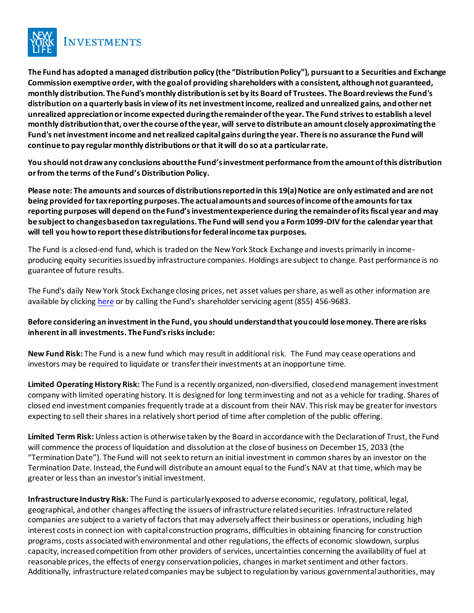

**The Fund has adopted a managed distribution policy (the "Distribution Policy"), pursuant to a Securities and Exchange Commission exemptive order, with the goal of providing shareholders with a consistent, although not guaranteed, monthly distribution. The Fund's monthly distribution is set by its Board of Trustees. The Board reviews the Fund's distribution on a quarterly basis in view of its net investment income, realized and unrealized gains, and other net unrealized appreciation or income expected during the remainder of the year. The Fund strives to establish a level monthly distribution that, over the course of the year, will serve to distribute an amount closely approximating the Fund's net investment income and net realized capital gains during the year. There is no assurance the Fund will continue to pay regular monthly distributions or that it will do so at a particular rate.**

**You should not draw any conclusions about the Fund's investment performance from the amount of this distribution or from the terms of the Fund's Distribution Policy.**

**Please note: The amounts and sources of distributions reported in this 19(a) Notice are only estimated and are not being provided for tax reporting purposes. The actual amounts and sources of income of the amounts for tax reporting purposes will depend on the Fund's investment experience during the remainder of its fiscal year and may be subject to changes based on tax regulations. The Fund will send you a Form 1099-DIV for the calendar year that will tell you how to report these distributions for federal income tax purposes.**

The Fund is a closed-end fund, which is traded on the New York Stock Exchange and invests primarily in incomeproducing equity securities issued by infrastructure companies. Holdings are subject to change. Past performance is no guarantee of future results.

The Fund's daily New York Stock Exchange closing prices, net asset values per share, as well as other information are available by clicking [here](https://www.newyorklifeinvestments.com/investment-products/closed-end-funds/mainstay-cbre-global-infrastructure-megatrends-fund-megi?ticker=MEGI) or by calling the Fund's shareholder servicing agent (855) 456-9683.

# **Before considering an investment in the Fund, you should understand that you could lose money. There are risks inherent in all investments. The Fund's risks include:**

**New Fund Risk:** The Fund is a new fund which may result in additional risk. The Fund may cease operations and investors may be required to liquidate or transfer their investments at an inopportune time.

**Limited Operating History Risk:** The Fund is a recently organized, non-diversified, closed end management investment company with limited operating history. It is designed for long term investing and not as a vehicle for trading. Shares of closed end investment companies frequently trade at a discount from their NAV. This risk may be greater for investors expecting to sell their shares in a relatively short period of time after completion of the public offering.

**Limited Term Risk:** Unless action is otherwise taken by the Board in accordance with the Declaration of Trust, the Fund will commence the process of liquidation and dissolution at the close of business on December 15, 2033 (the "Termination Date"). The Fund will not seek to return an initial investment in common shares by an investor on the Termination Date. Instead, the Fund will distribute an amount equal to the Fund's NAV at that time, which may be greater or less than an investor's initial investment.

**Infrastructure Industry Risk:** The Fund is particularly exposed to adverse economic, regulatory, political, legal, geographical, and other changes affecting the issuers of infrastructure related securities. Infrastructure related companies are subject to a variety of factors that may adversely affect their business or operations, including high interest costs in connect ion with capital construction programs, difficulties in obtaining financing for construction programs, costs associated with environmental and other regulations, the effects of economic slowdown, surplus capacity, increased competition from other providers of services, uncertainties concerning the availability of fuel at reasonable prices, the effects of energy conservation policies, changes in market sentiment and other factors. Additionally, infrastructure related companies may be subject to regulation by various governmental authorities, may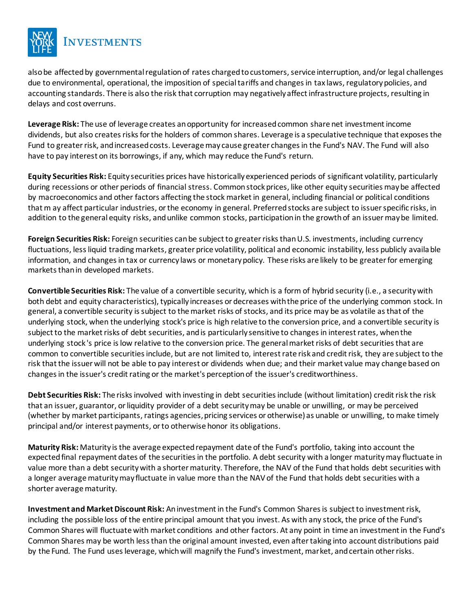

also be affected by governmental regulation of rates charged to customers, service interruption, and/or legal challenges due to environmental, operational, the imposition of special tariffs and changes in tax laws, regulatory policies, and accounting standards. There is also the risk that corruption may negatively affect infrastructure projects, resulting in delays and cost overruns.

**Leverage Risk:** The use of leverage creates an opportunity for increased common share net investment income dividends, but also creates risks for the holders of common shares. Leverage is a speculative technique that exposes the Fund to greater risk, and increased costs. Leverage may cause greater changes in the Fund's NAV. The Fund will also have to pay interest on its borrowings, if any, which may reduce the Fund's return.

**Equity Securities Risk:** Equity securities prices have historically experienced periods of significant volatility, particularly during recessions or other periods of financial stress. Common stock prices, like other equity securities may be affected by macroeconomics and other factors affecting the stock market in general, including financial or political conditions that m ay affect particular industries, or the economy in general. Preferred stocks are subject to issuer specific risks, in addition to the general equity risks, and unlike common stocks, participation in the growth of an issuer may be limited.

**Foreign Securities Risk:** Foreign securities can be subject to greater risks than U.S. investments, including currency fluctuations, less liquid trading markets, greater price volatility, political and economic instability, less publicly available information, and changes in tax or currency laws or monetary policy. These risks are likely to be greater for emerging markets than in developed markets.

**Convertible Securities Risk:** The value of a convertible security, which is a form of hybrid security (i.e., a security with both debt and equity characteristics), typically increases or decreases with the price of the underlying common stock. In general, a convertible security is subject to the market risks of stocks, and its price may be as volatile as that of the underlying stock, when the underlying stock's price is high relative to the conversion price, and a convertible security is subject to the market risks of debt securities, and is particularly sensitive to changes in interest rates, when the underlying stock 's price is low relative to the conversion price. The general market risks of debt securities that are common to convertible securities include, but are not limited to, interest rate risk and credit risk, they are subject to the risk that the issuer will not be able to pay interest or dividends when due; and their market value may change based on changes in the issuer's credit rating or the market's perception of the issuer's creditworthiness.

**Debt Securities Risk:** The risks involved with investing in debt securities include (without limitation) credit risk the risk that an issuer, guarantor, or liquidity provider of a debt security may be unable or unwilling, or may be perceived (whether by market participants, ratings agencies, pricing services or otherwise) as unable or unwilling, to make timely principal and/or interest payments, or to otherwise honor its obligations.

**Maturity Risk:** Maturity is the average expected repayment date of the Fund's portfolio, taking into account the expected final repayment dates of the securities in the portfolio. A debt security with a longer maturity may fluctuate in value more than a debt security with a shorter maturity. Therefore, the NAV of the Fund that holds debt securities with a longer average maturity may fluctuate in value more than the NAV of the Fund that holds debt securities with a shorter average maturity.

**Investment and Market Discount Risk:** An investment in the Fund's Common Shares is subject to investment risk, including the possible loss of the entire principal amount that you invest. As with any stock, the price of the Fund's Common Shares will fluctuate with market conditions and other factors. At any point in time an investment in the Fund's Common Shares may be worth less than the original amount invested, even after taking into account distributions paid by the Fund. The Fund uses leverage, which will magnify the Fund's investment, market, and certain other risks.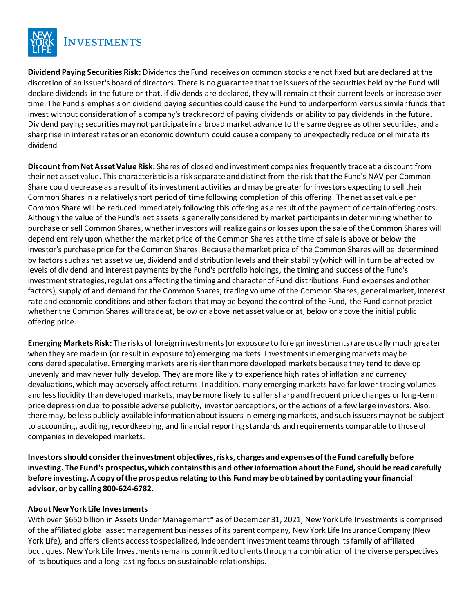

**Dividend Paying Securities Risk:** Dividends the Fund receives on common stocks are not fixed but are declared at the discretion of an issuer's board of directors. There is no guarantee that the issuers of the securities held by the Fund will declare dividends in the future or that, if dividends are declared, they will remain at their current levels or increase over time. The Fund's emphasis on dividend paying securities could cause the Fund to underperform versus similar funds that invest without consideration of a company's track record of paying dividends or ability to pay dividends in the future. Dividend paying securities may not participate in a broad market advance to the same degree as other securities, and a sharp rise in interest rates or an economic downturn could cause a company to unexpectedly reduce or eliminate its dividend.

**Discount from Net Asset Value Risk:** Shares of closed end investment companies frequently trade at a discount from their net asset value. This characteristic is a risk separate and distinct from the risk that the Fund's NAV per Common Share could decrease as a result of its investment activities and may be greater for investors expecting to sell their Common Shares in a relatively short period of time following completion of this offering. The net asset value per Common Share will be reduced immediately following this offering as a result of the payment of certain offering costs. Although the value of the Fund's net assets is generally considered by market participants in determining whether to purchase or sell Common Shares, whether investors will realize gains or losses upon the sale of the Common Shares will depend entirely upon whether the market price of the Common Shares at the time of sale is above or below the investor's purchase price for the Common Shares. Because the market price of the Common Shares will be determined by factors such as net asset value, dividend and distribution levels and their stability (which will in turn be affected by levels of dividend and interest payments by the Fund's portfolio holdings, the timing and success of the Fund's investment strategies, regulations affecting the timing and character of Fund distributions, Fund expenses and other factors), supply of and demand for the Common Shares, trading volume of the Common Shares, general market, interest rate and economic conditions and other factors that may be beyond the control of the Fund, the Fund cannot predict whether the Common Shares will trade at, below or above net asset value or at, below or above the initial public offering price.

**Emerging Markets Risk:** The risks of foreign investments (or exposure to foreign investments) are usually much greater when they are made in (or result in exposure to) emerging markets. Investments in emerging markets may be considered speculative. Emerging markets are riskier than more developed markets because they tend to develop unevenly and may never fully develop. They are more likely to experience high rates of inflation and currency devaluations, which may adversely affect returns. In addition, many emerging markets have far lower trading volumes and less liquidity than developed markets, may be more likely to suffer sharp and frequent price changes or long-term price depression due to possible adverse publicity, investor perceptions, or the actions of a few large investors. Also, there may, be less publicly available information about issuers in emerging markets, and such issuers may not be subject to accounting, auditing, recordkeeping, and financial reporting standards and requirements comparable to those of companies in developed markets.

**Investors should consider the investment objectives, risks, charges and expenses of the Fund carefully before investing. The Fund's prospectus, which contains this and other information about the Fund, should be read carefully before investing. A copy of the prospectus relating to this Fund may be obtained by contacting your financial advisor, or by calling 800-624-6782.**

### **About New York Life Investments**

With over \$650 billion in Assets Under Management\* as of December 31, 2021, New York Life Investments is comprised of the affiliated global asset management businesses of its parent company, New York Life Insurance Company (New York Life), and offers clients access to specialized, independent investment teams through its family of affiliated boutiques. New York Life Investments remains committed to clients through a combination of the diverse perspectives of its boutiques and a long-lasting focus on sustainable relationships.